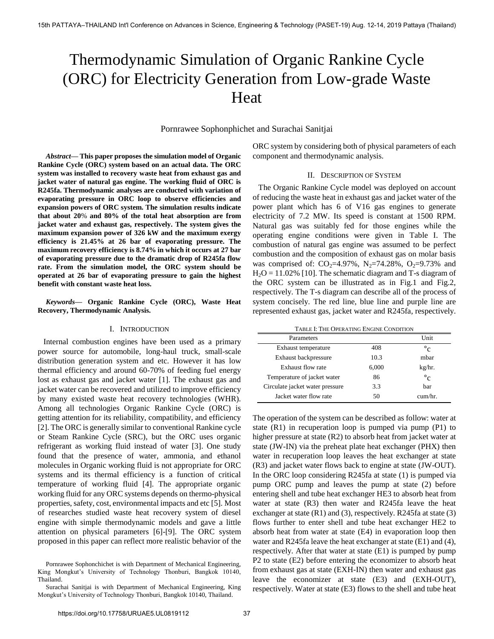# Thermodynamic Simulation of Organic Rankine Cycle (ORC) for Electricity Generation from Low-grade Waste Heat

Pornrawee Sophonphichet and Surachai Sanitjai

*Abstract***— This paper proposes the simulation model of Organic Rankine Cycle (ORC) system based on an actual data. The ORC system was installed to recovery waste heat from exhaust gas and jacket water of natural gas engine. The working fluid of ORC is R245fa. Thermodynamic analyses are conducted with variation of evaporating pressure in ORC loop to observe efficiencies and expansion powers of ORC system. The simulation results indicate that about 20**% **and 80% of the total heat absorption are from jacket water and exhaust gas, respectively. The system gives the maximum expansion power of 326 kW and the maximum exergy efficiency is 21.45% at 26 bar of evaporating pressure. The maximum recovery efficiency is 8.74% in which it occurs at 27 bar of evaporating pressure due to the dramatic drop of R245fa flow rate. From the simulation model, the ORC system should be operated at 26 bar of evaporating pressure to gain the highest benefit with constant waste heat loss.** 

*Keywords***— Organic Rankine Cycle (ORC), Waste Heat Recovery, Thermodynamic Analysis.** 

#### I. INTRODUCTION

Internal combustion engines have been used as a primary power source for automobile, long-haul truck, small-scale distribution generation system and etc. However it has low thermal efficiency and around 60-70% of feeding fuel energy lost as exhaust gas and jacket water [1]. The exhaust gas and jacket water can be recovered and utilized to improve efficiency by many existed waste heat recovery technologies (WHR). Among all technologies Organic Rankine Cycle (ORC) is getting attention for its reliability, compatibility, and efficiency [2]. The ORC is generally similar to conventional Rankine cycle or Steam Rankine Cycle (SRC), but the ORC uses organic refrigerant as working fluid instead of water [3]. One study found that the presence of water, ammonia, and ethanol molecules in Organic working fluid is not appropriate for ORC systems and its thermal efficiency is a function of critical temperature of working fluid [4]. The appropriate organic working fluid for any ORC systems depends on thermo-physical properties, safety, cost, environmental impacts and etc [5]. Most of researches studied waste heat recovery system of diesel engine with simple thermodynamic models and gave a little attention on physical parameters [6]-[9]. The ORC system proposed in this paper can reflect more realistic behavior of the

Pornrawee Sophonchichet is with Department of Mechanical Engineering, King Mongkut's University of Technology Thonburi, Bangkok 10140, Thailand.

Surachai Sanitjai is with Department of Mechanical Engineering, King Mongkut's University of Technology Thonburi, Bangkok 10140, Thailand.

ORC system by considering both of physical parameters of each component and thermodynamic analysis.

# II. DESCRIPTION OF SYSTEM

The Organic Rankine Cycle model was deployed on account of reducing the waste heat in exhaust gas and jacket water of the power plant which has 6 of V16 gas engines to generate electricity of 7.2 MW. Its speed is constant at 1500 RPM. Natural gas was suitably fed for those engines while the operating engine conditions were given in Table I. The combustion of natural gas engine was assumed to be perfect combustion and the composition of exhaust gas on molar basis was comprised of:  $CO<sub>2</sub>=4.97%$ , N<sub>2</sub>=74.28%, O<sub>2</sub>=9.73% and  $H<sub>2</sub>O = 11.02\%$  [10]. The schematic diagram and T-s diagram of the ORC system can be illustrated as in Fig.1 and Fig.2, respectively. The T-s diagram can describe all of the process of system concisely. The red line, blue line and purple line are represented exhaust gas, jacket water and R245fa, respectively.

| TABLE I: THE OPERATING ENGINE CONDITION |  |
|-----------------------------------------|--|
|-----------------------------------------|--|

| Parameters                      |       | Unit        |
|---------------------------------|-------|-------------|
| Exhaust temperature             | 408   | $\circ_{c}$ |
| Exhaust backpressure            | 10.3  | mbar        |
| Exhaust flow rate               | 6,000 | kg/hr.      |
| Temperature of jacket water     | 86    | $\circ_{c}$ |
| Circulate jacket water pressure | 3.3   | bar         |
| Jacket water flow rate          | 50    | $cum/hr$ .  |

The operation of the system can be described as follow: water at state (R1) in recuperation loop is pumped via pump (P1) to higher pressure at state (R2) to absorb heat from jacket water at state (JW-IN) via the preheat plate heat exchanger (PHX) then water in recuperation loop leaves the heat exchanger at state (R3) and jacket water flows back to engine at state (JW-OUT). In the ORC loop considering R245fa at state (1) is pumped via pump ORC pump and leaves the pump at state (2) before entering shell and tube heat exchanger HE3 to absorb heat from water at state (R3) then water and R245fa leave the heat exchanger at state  $(R1)$  and  $(3)$ , respectively. R245fa at state  $(3)$ flows further to enter shell and tube heat exchanger HE2 to absorb heat from water at state (E4) in evaporation loop then water and R245fa leave the heat exchanger at state (E1) and (4), respectively. After that water at state (E1) is pumped by pump P2 to state (E2) before entering the economizer to absorb heat from exhaust gas at state (EXH-IN) then water and exhaust gas leave the economizer at state (E3) and (EXH-OUT), respectively. Water at state (E3) flows to the shell and tube heat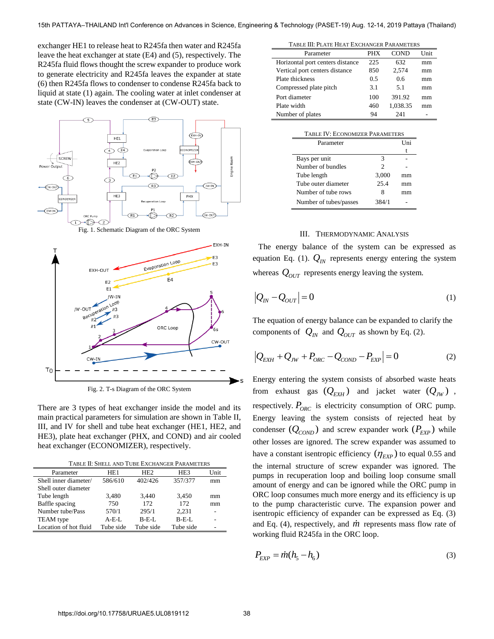exchanger HE1 to release heat to R245fa then water and R245fa leave the heat exchanger at state (E4) and (5), respectively. The R245fa fluid flows thought the screw expander to produce work to generate electricity and R245fa leaves the expander at state (6) then R245fa flows to condenser to condense R245fa back to liquid at state (1) again. The cooling water at inlet condenser at state (CW-IN) leaves the condenser at (CW-OUT) state.



Fig. 1. Schematic Diagram of the ORC System



Fig. 2. T-s Diagram of the ORC System

There are 3 types of heat exchanger inside the model and its main practical parameters for simulation are shown in Table II, III, and IV for shell and tube heat exchanger (HE1, HE2, and HE3), plate heat exchanger (PHX, and COND) and air cooled heat exchanger (ECONOMIZER), respectively.

| Parameter             | HE <sub>1</sub> | H <sub>E2</sub> | HE <sub>3</sub> | Unit |
|-----------------------|-----------------|-----------------|-----------------|------|
| Shell inner diameter/ | 586/610         | 402/426         | 357/377         | mm   |
| Shell outer diameter  |                 |                 |                 |      |
| Tube length           | 3.480           | 3.440           | 3.450           | mm   |
| Baffle spacing        | 750             | 172             | 172             | mm   |
| Number tube/Pass      | 570/1           | 295/1           | 2.231           |      |
| <b>TEAM</b> type      | $A-E-I.$        | $B$ -E-L        | $B$ -E-L        |      |
| Location of hot fluid | Tube side       | Tube side       | Tube side       |      |

| TABLE III: PLATE HEAT EXCHANGER PARAMETERS |                |             |      |
|--------------------------------------------|----------------|-------------|------|
| Parameter                                  | <b>PHX</b>     | <b>COND</b> | Unit |
| Horizontal port centers distance           | 225            | 632         | mm   |
| Vertical port centers distance             | 850            | 2,574       | mm   |
| Plate thickness                            | 0.5            | 0.6         | mm   |
| Compressed plate pitch                     | 3.1            | 5.1         | mm   |
| Port diameter                              | 100            | 391.92      | mm   |
| Plate width                                | 460            | 1,038.35    | mm   |
| Number of plates                           | 94             | 241         |      |
|                                            |                |             |      |
| TABLE IV: ECONOMIZER PARAMETERS            |                |             |      |
| Parameter                                  |                | Uni         |      |
|                                            |                | t           |      |
| Bays per unit                              | 3              |             |      |
| Number of bundles                          | $\mathfrak{D}$ |             |      |
| Tube length                                | 3,000          | mm          |      |
| Tube outer diameter                        | 25.4           | mm          |      |
| Number of tube rows                        | 8              | mm          |      |
| Number of tubes/passes                     | 384/1          |             |      |

# III. THERMODYNAMIC ANALYSIS

The energy balance of the system can be expressed as equation Eq. (1).  $Q_N$  represents energy entering the system whereas  $Q_{OUT}$  represents energy leaving the system.

$$
\left|Q_{IN} - Q_{OUT}\right| = 0\tag{1}
$$

The equation of energy balance can be expanded to clarify the components of  $Q_{IN}$  and  $Q_{OUT}$  as shown by Eq. (2).

$$
|Q_{EXH} + Q_{JW} + P_{ORC} - Q_{COMP} - P_{EXP}| = 0
$$
 (2)

Energy entering the system consists of absorbed waste heats from exhaust gas  $(Q_{EXH})$  and jacket water  $(Q_{JW})$ , respectively.  $P_{ORC}$  is electricity consumption of ORC pump. Energy leaving the system consists of rejected heat by condenser  $(Q_{\text{COMP}})$  and screw expander work  $(P_{\text{EXP}})$  while other losses are ignored. The screw expander was assumed to have a constant isentropic efficiency  $(\eta_{EXP})$  to equal 0.55 and the internal structure of screw expander was ignored. The pumps in recuperation loop and boiling loop consume small amount of energy and can be ignored while the ORC pump in ORC loop consumes much more energy and its efficiency is up to the pump characteristic curve. The expansion power and isentropic efficiency of expander can be expressed as Eq. (3) and Eq.  $(4)$ , respectively, and  $\dot{m}$  represents mass flow rate of working fluid R245fa in the ORC loop.

$$
P_{EXP} = \dot{m}(h_5 - h_6) \tag{3}
$$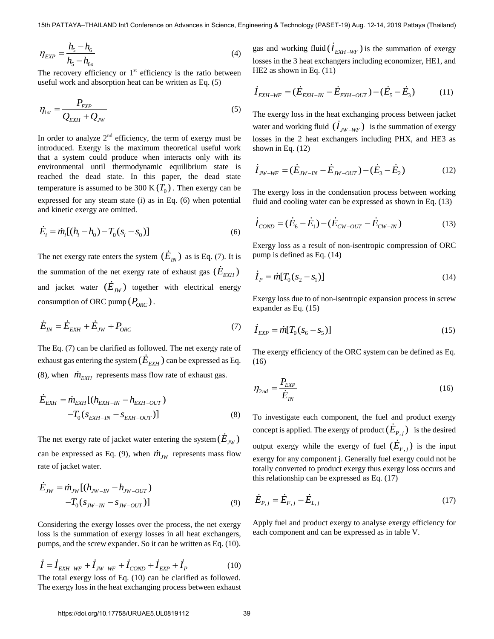$$
\eta_{EXP} = \frac{h_{5} - h_{6}}{h_{5} - h_{6s}}
$$
\n(4)

The recovery efficiency or  $1<sup>st</sup>$  efficiency is the ratio between useful work and absorption heat can be written as Eq. (5)

$$
\eta_{1st} = \frac{P_{EXP}}{Q_{EXH} + Q_{JW}}
$$
\n(5)

In order to analyze  $2<sup>nd</sup>$  efficiency, the term of exergy must be introduced. Exergy is the maximum theoretical useful work that a system could produce when interacts only with its environmental until thermodynamic equilibrium state is reached the dead state. In this paper, the dead state temperature is assumed to be 300 K $(T_0)$ . Then exergy can be expressed for any steam state (i) as in Eq. (6) when potential and kinetic exergy are omitted.

$$
\dot{E}_i = \dot{m}_i [(h_i - h_0) - T_0 (s_i - s_0)]
$$
\n(6)

The net exergy rate enters the system  $(\dot{E}_{IN})$  as is Eq. (7). It is the summation of the net exergy rate of exhaust gas  $(\dot{E}_{E X H})$ and jacket water  $(E_{JW})$  together with electrical energy consumption of ORC pump  $(P_{ORC})$ .

$$
\dot{E}_{IN} = \dot{E}_{EXH} + \dot{E}_{JW} + P_{ORC}
$$
\n(7)

The Eq. (7) can be clarified as followed. The net exergy rate of exhaust gas entering the system  $(E_{E X H})$  can be expressed as Eq. (8), when  $\dot{m}_{EXH}$  represents mass flow rate of exhaust gas.

$$
\dot{E}_{EXH} = \dot{m}_{EXH} [(h_{EXH-IN} - h_{EXH-OUT})
$$
  
- $T_0 (s_{EXH-IN} - s_{EXH-OUT})]$  (8)

The net exergy rate of jacket water entering the system  $(\dot{E}_{JW})$ can be expressed as Eq. (9), when  $\dot{m}_{JW}$  represents mass flow rate of jacket water.

$$
\dot{E}_{JW} = \dot{m}_{JW} [(h_{JW-IN} - h_{JW-OUT})
$$
  
-T<sub>0</sub>(s<sub>JW-IN</sub> - s<sub>JW-OUT</sub>)] (9)

Considering the exergy losses over the process, the net exergy loss is the summation of exergy losses in all heat exchangers, pumps, and the screw expander. So it can be written as Eq. (10).

$$
\dot{I} = \dot{I}_{EXH-WF} + \dot{I}_{JW-WF} + \dot{I}_{COMP} + \dot{I}_{EXP} + \dot{I}_{P}
$$
(10)

The total exergy loss of Eq. (10) can be clarified as followed. The exergy loss in the heat exchanging process between exhaust

gas and working fluid  $(I_{E X H - W F})$  is the summation of exergy losses in the 3 heat exchangers including economizer, HE1, and HE2 as shown in Eq. (11)

$$
\dot{I}_{EXH-WF} = (\dot{E}_{EXH-N} - \dot{E}_{EXH-OUT}) - (\dot{E}_5 - \dot{E}_3)
$$
(11)

The exergy loss in the heat exchanging process between jacket water and working fluid  $(I_{JW-WF})$  is the summation of exergy losses in the 2 heat exchangers including PHX, and HE3 as shown in Eq. (12)

$$
\dot{I}_{JW-WF} = (\dot{E}_{JW-N} - \dot{E}_{JW-OUT}) - (\dot{E}_3 - \dot{E}_2)
$$
(12)

The exergy loss in the condensation process between working fluid and cooling water can be expressed as shown in Eq. (13)

$$
\dot{I}_{\text{COND}} = (\dot{E}_6 - \dot{E}_1) - (\dot{E}_{\text{CW-OUT}} - \dot{E}_{\text{CW-IN}})
$$
(13)

Exergy loss as a result of non-isentropic compression of ORC pump is defined as Eq. (14)

$$
\dot{I}_P = \dot{m}[T_0(s_2 - s_1)] \tag{14}
$$

Exergy loss due to of non-isentropic expansion process in screw expander as Eq. (15)

$$
\dot{I}_{EXP} = \dot{m}[T_0(s_6 - s_5)]
$$
\n(15)

The exergy efficiency of the ORC system can be defined as Eq. (16)

$$
\eta_{2nd} = \frac{P_{EXP}}{\dot{E}_{IN}}\tag{16}
$$

To investigate each component, the fuel and product exergy concept is applied. The exergy of product  $(E_{P,j})$  is the desired output exergy while the exergy of fuel  $(E_{F,j})$  is the input exergy for any component j. Generally fuel exergy could not be totally converted to product exergy thus exergy loss occurs and this relationship can be expressed as Eq. (17)

$$
\dot{E}_{P,j} = \dot{E}_{F,j} - \dot{E}_{L,j} \tag{17}
$$

Apply fuel and product exergy to analyse exergy efficiency for each component and can be expressed as in table V.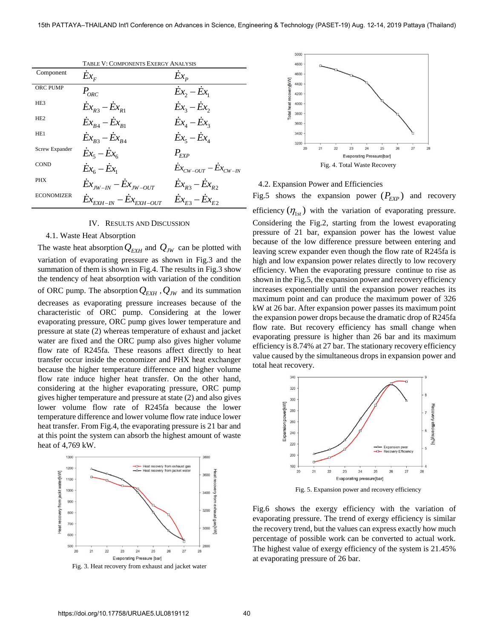|                   | TABLE V: COMPONENTS EXERGY ANALYSIS                          |                                     |  |
|-------------------|--------------------------------------------------------------|-------------------------------------|--|
| Component         | $Ex_{F}$                                                     | $Ex_{p}$                            |  |
| <b>ORC PUMP</b>   | $P_{ORC}$                                                    | $\dot{E}x_2 - Ex_1$                 |  |
| HE <sub>3</sub>   | $Ex_{R3} - Ex_{R1}$                                          | $\dot{Ex}_3 - \dot{Ex}_2$           |  |
| HE <sub>2</sub>   | $Ex_{B4} - Ex_{B1}$                                          | $\overline{Ex}_4 - \overline{Ex}_3$ |  |
| HE <sub>1</sub>   | $Ex_{B3} - Ex_{B4}$                                          | $\overline{Ex}_5 - \overline{Ex}_4$ |  |
| Screw Expander    | $\overline{Ex}_5 - \overline{Ex}_6$                          | $P_{\scriptscriptstyle KYP}$        |  |
| <b>COND</b>       | $\overline{Ex}_{6}-\overline{Ex}_{1}$                        | $Ex_{CW-OUT} - Ex_{CW-N}$           |  |
| <b>PHX</b>        | $\dot{E}x_{\rm rw-IN} - Ex_{\rm JW-OUT}$                     | $Ex_{R3} - Ex_{R2}$                 |  |
| <b>ECONOMIZER</b> | $\dot{Ex}_{\text{EXH}-\text{IN}}-Ex_{\text{EXH}-\text{OUT}}$ | $Ex_{F3} - Ex_{F2}$                 |  |

#### IV. RESULTS AND DISCUSSION

# 4.1. Waste Heat Absorption

The waste heat absorption  $Q_{E X H}$  and  $Q_{J W}$  can be plotted with variation of evaporating pressure as shown in Fig.3 and the summation of them is shown in Fig.4. The results in Fig.3 show the tendency of heat absorption with variation of the condition of ORC pump. The absorption *QEXH* ,*QJW* and its summation decreases as evaporating pressure increases because of the characteristic of ORC pump. Considering at the lower evaporating pressure, ORC pump gives lower temperature and pressure at state (2) whereas temperature of exhaust and jacket water are fixed and the ORC pump also gives higher volume flow rate of R245fa. These reasons affect directly to heat transfer occur inside the economizer and PHX heat exchanger because the higher temperature difference and higher volume flow rate induce higher heat transfer. On the other hand, considering at the higher evaporating pressure, ORC pump gives higher temperature and pressure at state (2) and also gives lower volume flow rate of R245fa because the lower temperature difference and lower volume flow rate induce lower heat transfer. From Fig.4, the evaporating pressure is 21 bar and at this point the system can absorb the highest amount of waste heat of 4,769 kW.



Fig. 3. Heat recovery from exhaust and jacket water



### 4.2. Expansion Power and Efficiencies

Fig.5 shows the expansion power  $(P_{EXP})$  and recovery efficiency  $(\eta_{1st})$  with the variation of evaporating pressure. Considering the Fig.2, starting from the lowest evaporating pressure of 21 bar, expansion power has the lowest value because of the low difference pressure between entering and leaving screw expander even though the flow rate of R245fa is high and low expansion power relates directly to low recovery efficiency. When the evaporating pressure continue to rise as

shown in the Fig.5, the expansion power and recovery efficiency increases exponentially until the expansion power reaches its maximum point and can produce the maximum power of 326 kW at 26 bar. After expansion power passes its maximum point the expansion power drops because the dramatic drop of R245fa flow rate. But recovery efficiency has small change when evaporating pressure is higher than 26 bar and its maximum efficiency is 8.74% at 27 bar. The stationary recovery efficiency value caused by the simultaneous drops in expansion power and total heat recovery.



Fig. 5. Expansion power and recovery efficiency

Fig.6 shows the exergy efficiency with the variation of evaporating pressure. The trend of exergy efficiency is similar the recovery trend, but the values can express exactly how much percentage of possible work can be converted to actual work. The highest value of exergy efficiency of the system is 21.45% at evaporating pressure of 26 bar.